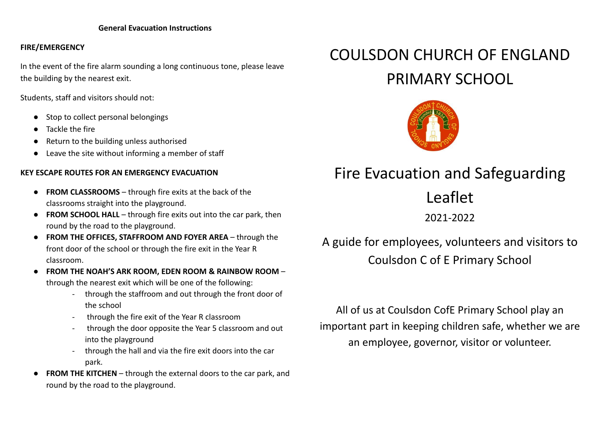# **FIRE/EMERGENCY**

In the event of the fire alarm sounding a long continuous tone, please leave the building by the nearest exit.

Students, staff and visitors should not:

- Stop to collect personal belongings
- Tackle the fire
- Return to the building unless authorised
- Leave the site without informing a member of staff

# **KEY ESCAPE ROUTES FOR AN EMERGENCY EVACUATION**

- **● FROM CLASSROOMS** through fire exits at the back of the classrooms straight into the playground.
- **● FROM SCHOOL HALL** through fire exits out into the car park, then round by the road to the playground.
- **● FROM THE OFFICES, STAFFROOM AND FOYER AREA** through the front door of the school or through the fire exit in the Year R classroom.
- **FROM THE NOAH'S ARK ROOM, EDEN ROOM & RAINBOW ROOM** through the nearest exit which will be one of the following:
	- through the staffroom and out through the front door of the school
	- through the fire exit of the Year R classroom
	- through the door opposite the Year 5 classroom and out into the playground
	- through the hall and via the fire exit doors into the car park.
- **FROM THE KITCHEN** through the external doors to the car park, and round by the road to the playground.

# COULSDON CHURCH OF ENGLAND PRIMARY SCHOOL



# Fire Evacuation and Safeguarding

Leaflet

2021-2022

A guide for employees, volunteers and visitors to Coulsdon C of E Primary School

All of us at Coulsdon CofE Primary School play an important part in keeping children safe, whether we are an employee, governor, visitor or volunteer.